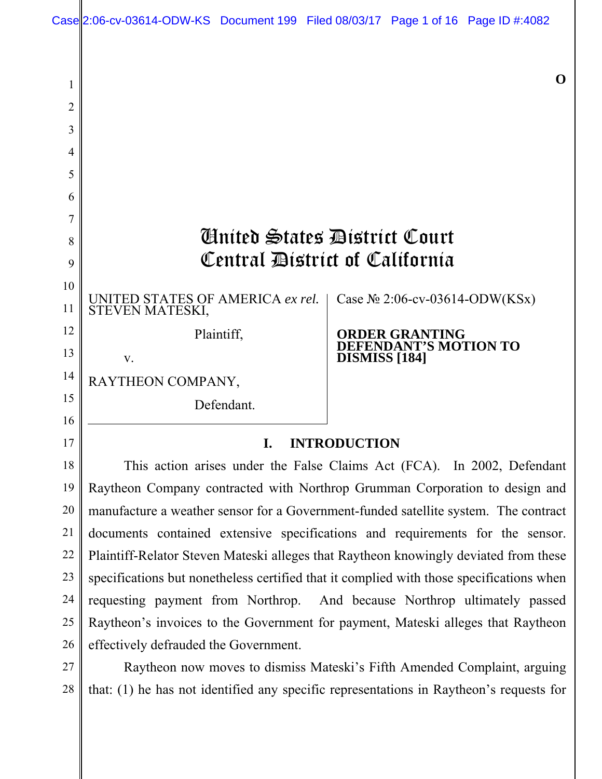

| $\overline{2}$ |                                                     |                                                      |
|----------------|-----------------------------------------------------|------------------------------------------------------|
| 3              |                                                     |                                                      |
| 4              |                                                     |                                                      |
| 5              |                                                     |                                                      |
| 6              |                                                     |                                                      |
| 7              |                                                     |                                                      |
| 8              | Ginited States District Court                       |                                                      |
| 9              | Central District of California                      |                                                      |
| 10             |                                                     |                                                      |
| 11             | UNITED STATES OF AMERICA ex rel.<br>STEVEN MATESKI, | Case $N2$ 2:06-cv-03614-ODW(KSx)                     |
| 12             | Plaintiff,                                          | <b>ORDER GRANTING</b>                                |
| 13             | V.                                                  | <b>DEFENDANT'S MOTION TO</b><br><b>DISMISS</b> [184] |
| 14             | RAYTHEON COMPANY,                                   |                                                      |
| 15<br>16       | Defendant.                                          |                                                      |
|                |                                                     |                                                      |
| 17             | <b>INTRODUCTION</b><br>I.                           |                                                      |

This action arises under the False Claims Act (FCA). In 2002, Defendant Raytheon Company contracted with Northrop Grumman Corporation to design and manufacture a weather sensor for a Government-funded satellite system. The contract documents contained extensive specifications and requirements for the sensor. Plaintiff-Relator Steven Mateski alleges that Raytheon knowingly deviated from these specifications but nonetheless certified that it complied with those specifications when requesting payment from Northrop. And because Northrop ultimately passed Raytheon's invoices to the Government for payment, Mateski alleges that Raytheon effectively defrauded the Government. 18 19 20 21 22 23 24 25 26

Raytheon now moves to dismiss Mateski's Fifth Amended Complaint, arguing that: (1) he has not identified any specific representations in Raytheon's requests for 27 28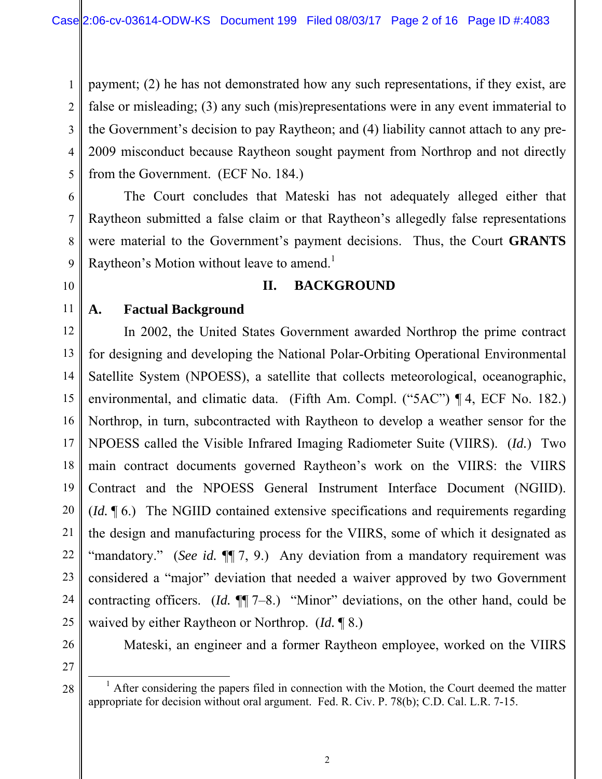1 2 3 4 5 payment; (2) he has not demonstrated how any such representations, if they exist, are false or misleading; (3) any such (mis)representations were in any event immaterial to the Government's decision to pay Raytheon; and (4) liability cannot attach to any pre-2009 misconduct because Raytheon sought payment from Northrop and not directly from the Government. (ECF No. 184.)

The Court concludes that Mateski has not adequately alleged either that Raytheon submitted a false claim or that Raytheon's allegedly false representations were material to the Government's payment decisions. Thus, the Court **GRANTS**  Raytheon's Motion without leave to amend.<sup>1</sup>

# **II. BACKGROUND**

# **A. Factual Background**

12 13 14 15 16 17 18 19 20 21 22 23 24 25 In 2002, the United States Government awarded Northrop the prime contract for designing and developing the National Polar-Orbiting Operational Environmental Satellite System (NPOESS), a satellite that collects meteorological, oceanographic, environmental, and climatic data. (Fifth Am. Compl. ("5AC") ¶ 4, ECF No. 182.) Northrop, in turn, subcontracted with Raytheon to develop a weather sensor for the NPOESS called the Visible Infrared Imaging Radiometer Suite (VIIRS). (*Id.*) Two main contract documents governed Raytheon's work on the VIIRS: the VIIRS Contract and the NPOESS General Instrument Interface Document (NGIID). (*Id.* ¶ 6.) The NGIID contained extensive specifications and requirements regarding the design and manufacturing process for the VIIRS, some of which it designated as "mandatory." (*See id.*  $\P$ , 9.) Any deviation from a mandatory requirement was considered a "major" deviation that needed a waiver approved by two Government contracting officers. (*Id.* ¶¶ 7–8.) "Minor" deviations, on the other hand, could be waived by either Raytheon or Northrop. (*Id.* ¶ 8.)

26 27

28

6

7

8

9

10

11

Mateski, an engineer and a former Raytheon employee, worked on the VIIRS

 $\overline{\phantom{0}}$  1  $<sup>1</sup>$  After considering the papers filed in connection with the Motion, the Court deemed the matter</sup> appropriate for decision without oral argument. Fed. R. Civ. P. 78(b); C.D. Cal. L.R. 7-15.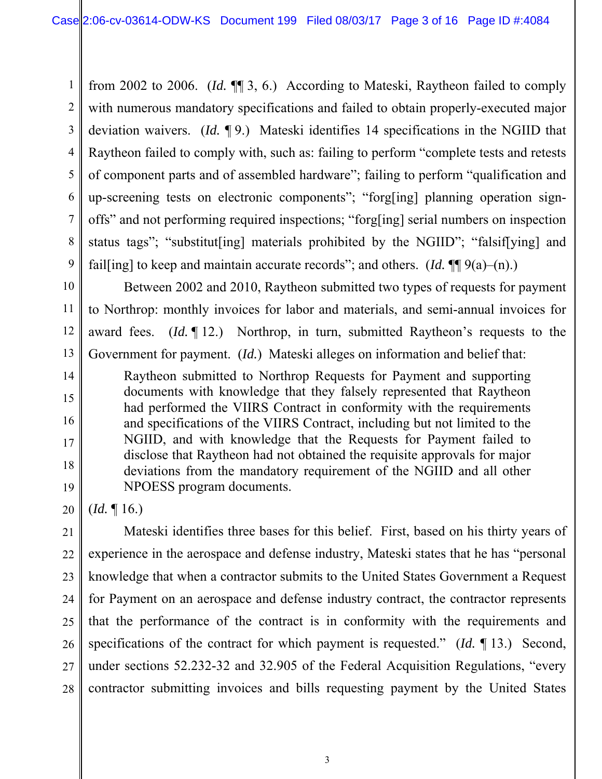1 2 3 4 5 6 7 8 9 from 2002 to 2006. (*Id.* ¶¶ 3, 6.) According to Mateski, Raytheon failed to comply with numerous mandatory specifications and failed to obtain properly-executed major deviation waivers. (*Id.* ¶ 9.) Mateski identifies 14 specifications in the NGIID that Raytheon failed to comply with, such as: failing to perform "complete tests and retests of component parts and of assembled hardware"; failing to perform "qualification and up-screening tests on electronic components"; "forg[ing] planning operation signoffs" and not performing required inspections; "forg[ing] serial numbers on inspection status tags"; "substitut[ing] materials prohibited by the NGIID"; "falsif[ying] and fail[ing] to keep and maintain accurate records"; and others.  $(Id. \P \P (9(a) - (n))$ .

10 11 12 13 Between 2002 and 2010, Raytheon submitted two types of requests for payment to Northrop: monthly invoices for labor and materials, and semi-annual invoices for award fees. (*Id.* ¶ 12.) Northrop, in turn, submitted Raytheon's requests to the Government for payment. (*Id.*) Mateski alleges on information and belief that:

Raytheon submitted to Northrop Requests for Payment and supporting documents with knowledge that they falsely represented that Raytheon had performed the VIIRS Contract in conformity with the requirements and specifications of the VIIRS Contract, including but not limited to the NGIID, and with knowledge that the Requests for Payment failed to disclose that Raytheon had not obtained the requisite approvals for major deviations from the mandatory requirement of the NGIID and all other NPOESS program documents.

20 (*Id.* ¶ 16.)

14

15

16

17

18

19

21 22 23 24 25 26 27 28 Mateski identifies three bases for this belief. First, based on his thirty years of experience in the aerospace and defense industry, Mateski states that he has "personal knowledge that when a contractor submits to the United States Government a Request for Payment on an aerospace and defense industry contract, the contractor represents that the performance of the contract is in conformity with the requirements and specifications of the contract for which payment is requested." (*Id.* ¶ 13.) Second, under sections 52.232-32 and 32.905 of the Federal Acquisition Regulations, "every contractor submitting invoices and bills requesting payment by the United States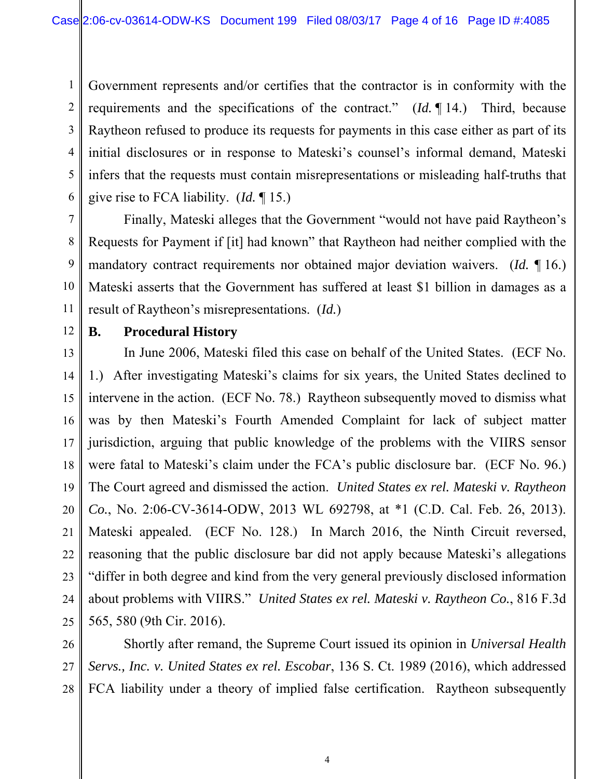1 2 3 4 5 6 Government represents and/or certifies that the contractor is in conformity with the requirements and the specifications of the contract." (*Id.* ¶ 14.) Third, because Raytheon refused to produce its requests for payments in this case either as part of its initial disclosures or in response to Mateski's counsel's informal demand, Mateski infers that the requests must contain misrepresentations or misleading half-truths that give rise to FCA liability. (*Id.* ¶ 15.)

Finally, Mateski alleges that the Government "would not have paid Raytheon's Requests for Payment if [it] had known" that Raytheon had neither complied with the mandatory contract requirements nor obtained major deviation waivers. (*Id.* ¶ 16.) Mateski asserts that the Government has suffered at least \$1 billion in damages as a result of Raytheon's misrepresentations. (*Id.*)

12

7

8

9

10

11

# **B. Procedural History**

13 14 15 16 17 18 19 20 21 22 23 24 25 In June 2006, Mateski filed this case on behalf of the United States. (ECF No. 1.) After investigating Mateski's claims for six years, the United States declined to intervene in the action. (ECF No. 78.) Raytheon subsequently moved to dismiss what was by then Mateski's Fourth Amended Complaint for lack of subject matter jurisdiction, arguing that public knowledge of the problems with the VIIRS sensor were fatal to Mateski's claim under the FCA's public disclosure bar. (ECF No. 96.) The Court agreed and dismissed the action. *United States ex rel. Mateski v. Raytheon Co.*, No. 2:06-CV-3614-ODW, 2013 WL 692798, at \*1 (C.D. Cal. Feb. 26, 2013). Mateski appealed. (ECF No. 128.) In March 2016, the Ninth Circuit reversed, reasoning that the public disclosure bar did not apply because Mateski's allegations "differ in both degree and kind from the very general previously disclosed information about problems with VIIRS." *United States ex rel. Mateski v. Raytheon Co.*, 816 F.3d 565, 580 (9th Cir. 2016).

26 27 28 Shortly after remand, the Supreme Court issued its opinion in *Universal Health Servs., Inc. v. United States ex rel. Escobar*, 136 S. Ct. 1989 (2016), which addressed FCA liability under a theory of implied false certification. Raytheon subsequently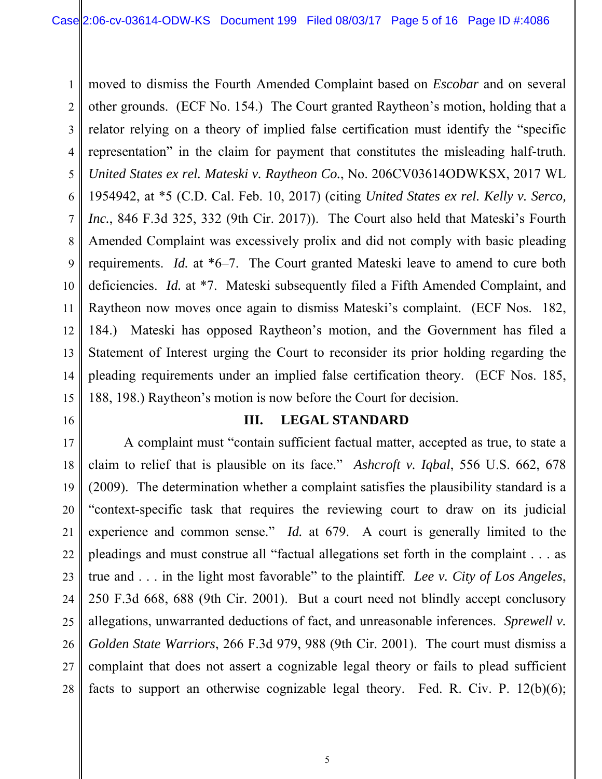1 2 3 4 5 6 7 8 9 10 11 12 13 14 15 moved to dismiss the Fourth Amended Complaint based on *Escobar* and on several other grounds. (ECF No. 154.) The Court granted Raytheon's motion, holding that a relator relying on a theory of implied false certification must identify the "specific representation" in the claim for payment that constitutes the misleading half-truth. *United States ex rel. Mateski v. Raytheon Co.*, No. 206CV03614ODWKSX, 2017 WL 1954942, at \*5 (C.D. Cal. Feb. 10, 2017) (citing *United States ex rel. Kelly v. Serco, Inc.*, 846 F.3d 325, 332 (9th Cir. 2017)). The Court also held that Mateski's Fourth Amended Complaint was excessively prolix and did not comply with basic pleading requirements. *Id.* at \*6–7. The Court granted Mateski leave to amend to cure both deficiencies. *Id.* at \*7. Mateski subsequently filed a Fifth Amended Complaint, and Raytheon now moves once again to dismiss Mateski's complaint. (ECF Nos. 182, 184.) Mateski has opposed Raytheon's motion, and the Government has filed a Statement of Interest urging the Court to reconsider its prior holding regarding the pleading requirements under an implied false certification theory. (ECF Nos. 185, 188, 198.) Raytheon's motion is now before the Court for decision.

16

#### **III. LEGAL STANDARD**

17 18 19 20 21 22 23 24 25 26 27 28 A complaint must "contain sufficient factual matter, accepted as true, to state a claim to relief that is plausible on its face." *Ashcroft v. Iqbal*, 556 U.S. 662, 678 (2009). The determination whether a complaint satisfies the plausibility standard is a "context-specific task that requires the reviewing court to draw on its judicial experience and common sense." *Id.* at 679. A court is generally limited to the pleadings and must construe all "factual allegations set forth in the complaint . . . as true and . . . in the light most favorable" to the plaintiff. *Lee v. City of Los Angeles*, 250 F.3d 668, 688 (9th Cir. 2001). But a court need not blindly accept conclusory allegations, unwarranted deductions of fact, and unreasonable inferences. *Sprewell v. Golden State Warriors*, 266 F.3d 979, 988 (9th Cir. 2001). The court must dismiss a complaint that does not assert a cognizable legal theory or fails to plead sufficient facts to support an otherwise cognizable legal theory. Fed. R. Civ. P.  $12(b)(6)$ ;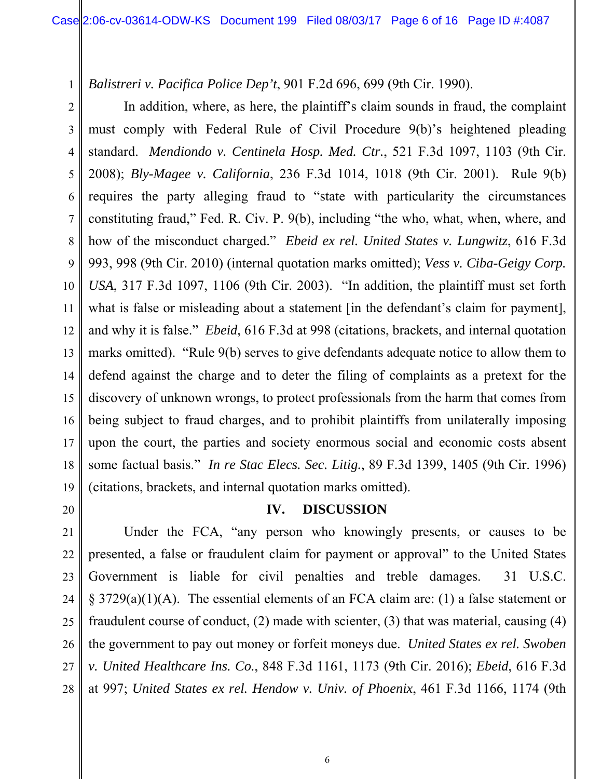*Balistreri v. Pacifica Police Dep't*, 901 F.2d 696, 699 (9th Cir. 1990).

2 3 4 5 6 7 8 9 10 11 12 13 14 15 16 17 18 19 In addition, where, as here, the plaintiff's claim sounds in fraud, the complaint must comply with Federal Rule of Civil Procedure 9(b)'s heightened pleading standard. *Mendiondo v. Centinela Hosp. Med. Ctr.*, 521 F.3d 1097, 1103 (9th Cir. 2008); *Bly-Magee v. California*, 236 F.3d 1014, 1018 (9th Cir. 2001). Rule 9(b) requires the party alleging fraud to "state with particularity the circumstances constituting fraud," Fed. R. Civ. P. 9(b), including "the who, what, when, where, and how of the misconduct charged." *Ebeid ex rel. United States v. Lungwitz*, 616 F.3d 993, 998 (9th Cir. 2010) (internal quotation marks omitted); *Vess v. Ciba-Geigy Corp. USA*, 317 F.3d 1097, 1106 (9th Cir. 2003). "In addition, the plaintiff must set forth what is false or misleading about a statement [in the defendant's claim for payment], and why it is false." *Ebeid*, 616 F.3d at 998 (citations, brackets, and internal quotation marks omitted). "Rule 9(b) serves to give defendants adequate notice to allow them to defend against the charge and to deter the filing of complaints as a pretext for the discovery of unknown wrongs, to protect professionals from the harm that comes from being subject to fraud charges, and to prohibit plaintiffs from unilaterally imposing upon the court, the parties and society enormous social and economic costs absent some factual basis." *In re Stac Elecs. Sec. Litig.*, 89 F.3d 1399, 1405 (9th Cir. 1996) (citations, brackets, and internal quotation marks omitted).

20

1

### **IV. DISCUSSION**

21 22 23 24 25 26 27 28 Under the FCA, "any person who knowingly presents, or causes to be presented, a false or fraudulent claim for payment or approval" to the United States Government is liable for civil penalties and treble damages. 31 U.S.C. § 3729(a)(1)(A). The essential elements of an FCA claim are: (1) a false statement or fraudulent course of conduct, (2) made with scienter, (3) that was material, causing (4) the government to pay out money or forfeit moneys due. *United States ex rel. Swoben v. United Healthcare Ins. Co.*, 848 F.3d 1161, 1173 (9th Cir. 2016); *Ebeid*, 616 F.3d at 997; *United States ex rel. Hendow v. Univ. of Phoenix*, 461 F.3d 1166, 1174 (9th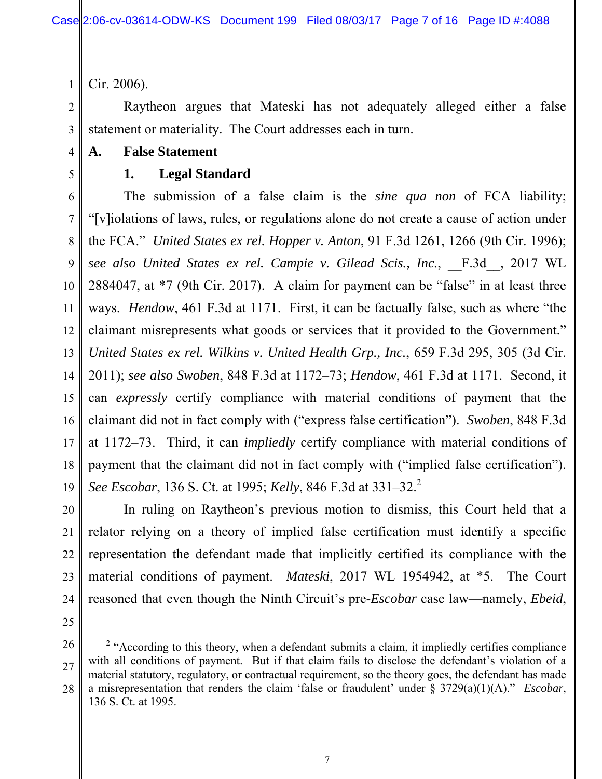Cir. 2006).

1

2

3

4

5

Raytheon argues that Mateski has not adequately alleged either a false statement or materiality. The Court addresses each in turn.

**A. False Statement**

# **1. Legal Standard**

6 7 8 9 10 11 12 13 14 15 16 17 18 19 The submission of a false claim is the *sine qua non* of FCA liability; "[v]iolations of laws, rules, or regulations alone do not create a cause of action under the FCA." *United States ex rel. Hopper v. Anton*, 91 F.3d 1261, 1266 (9th Cir. 1996); *see also United States ex rel. Campie v. Gilead Scis., Inc.*, \_\_F.3d\_\_, 2017 WL 2884047, at \*7 (9th Cir. 2017). A claim for payment can be "false" in at least three ways. *Hendow*, 461 F.3d at 1171. First, it can be factually false, such as where "the claimant misrepresents what goods or services that it provided to the Government." *United States ex rel. Wilkins v. United Health Grp., Inc.*, 659 F.3d 295, 305 (3d Cir. 2011); *see also Swoben*, 848 F.3d at 1172–73; *Hendow*, 461 F.3d at 1171. Second, it can *expressly* certify compliance with material conditions of payment that the claimant did not in fact comply with ("express false certification"). *Swoben*, 848 F.3d at 1172–73. Third, it can *impliedly* certify compliance with material conditions of payment that the claimant did not in fact comply with ("implied false certification"). *See Escobar*, 136 S. Ct. at 1995; *Kelly*, 846 F.3d at 331–32.<sup>2</sup>

20 In ruling on Raytheon's previous motion to dismiss, this Court held that a relator relying on a theory of implied false certification must identify a specific representation the defendant made that implicitly certified its compliance with the material conditions of payment. *Mateski*, 2017 WL 1954942, at \*5. The Court reasoned that even though the Ninth Circuit's pre-*Escobar* case law—namely, *Ebeid*,

25

21

22

23

<sup>26</sup> 28 <sup>2</sup> "According to this theory, when a defendant submits a claim, it impliedly certifies compliance with all conditions of payment. But if that claim fails to disclose the defendant's violation of a material statutory, regulatory, or contractual requirement, so the theory goes, the defendant has made a misrepresentation that renders the claim 'false or fraudulent' under § 3729(a)(1)(A)." *Escobar*, 136 S. Ct. at 1995.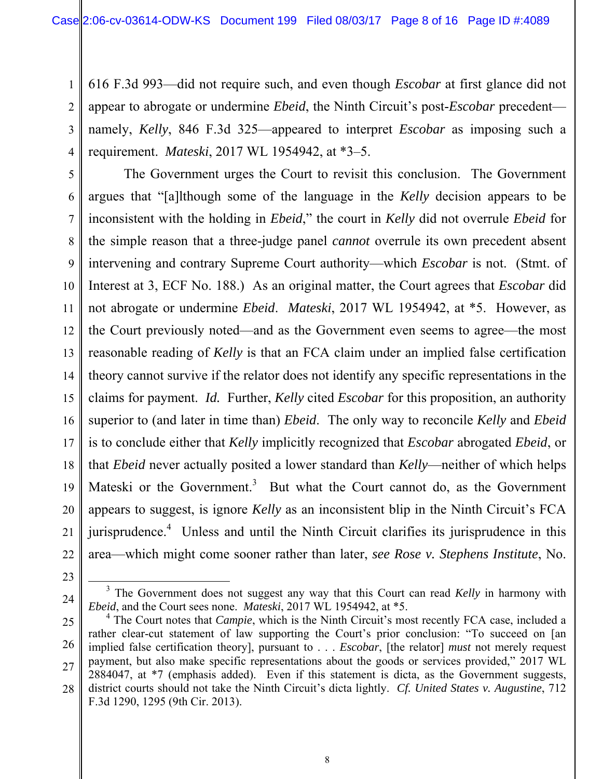1 2 3 4 616 F.3d 993—did not require such, and even though *Escobar* at first glance did not appear to abrogate or undermine *Ebeid*, the Ninth Circuit's post-*Escobar* precedent namely, *Kelly*, 846 F.3d 325—appeared to interpret *Escobar* as imposing such a requirement. *Mateski*, 2017 WL 1954942, at \*3–5.

5 6 7 8 9 10 11 12 13 14 15 16 17 18 19 20 21 22 The Government urges the Court to revisit this conclusion. The Government argues that "[a]lthough some of the language in the *Kelly* decision appears to be inconsistent with the holding in *Ebeid*," the court in *Kelly* did not overrule *Ebeid* for the simple reason that a three-judge panel *cannot* overrule its own precedent absent intervening and contrary Supreme Court authority—which *Escobar* is not. (Stmt. of Interest at 3, ECF No. 188.) As an original matter, the Court agrees that *Escobar* did not abrogate or undermine *Ebeid*. *Mateski*, 2017 WL 1954942, at \*5. However, as the Court previously noted—and as the Government even seems to agree—the most reasonable reading of *Kelly* is that an FCA claim under an implied false certification theory cannot survive if the relator does not identify any specific representations in the claims for payment. *Id.* Further, *Kelly* cited *Escobar* for this proposition, an authority superior to (and later in time than) *Ebeid*. The only way to reconcile *Kelly* and *Ebeid*  is to conclude either that *Kelly* implicitly recognized that *Escobar* abrogated *Ebeid*, or that *Ebeid* never actually posited a lower standard than *Kelly*—neither of which helps Mateski or the Government.<sup>3</sup> But what the Court cannot do, as the Government appears to suggest, is ignore *Kelly* as an inconsistent blip in the Ninth Circuit's FCA jurisprudence.<sup>4</sup> Unless and until the Ninth Circuit clarifies its jurisprudence in this area—which might come sooner rather than later, *see Rose v. Stephens Institute*, No.

<sup>24</sup> <sup>3</sup> The Government does not suggest any way that this Court can read *Kelly* in harmony with *Ebeid*, and the Court sees none. *Mateski*, 2017 WL 1954942, at \*5.

<sup>25</sup> 26 27 28 <sup>4</sup> The Court notes that *Campie*, which is the Ninth Circuit's most recently FCA case, included a rather clear-cut statement of law supporting the Court's prior conclusion: "To succeed on [an implied false certification theory], pursuant to . . . *Escobar*, [the relator] *must* not merely request payment, but also make specific representations about the goods or services provided," 2017 WL 2884047, at \*7 (emphasis added). Even if this statement is dicta, as the Government suggests, district courts should not take the Ninth Circuit's dicta lightly. *Cf. United States v. Augustine*, 712 F.3d 1290, 1295 (9th Cir. 2013).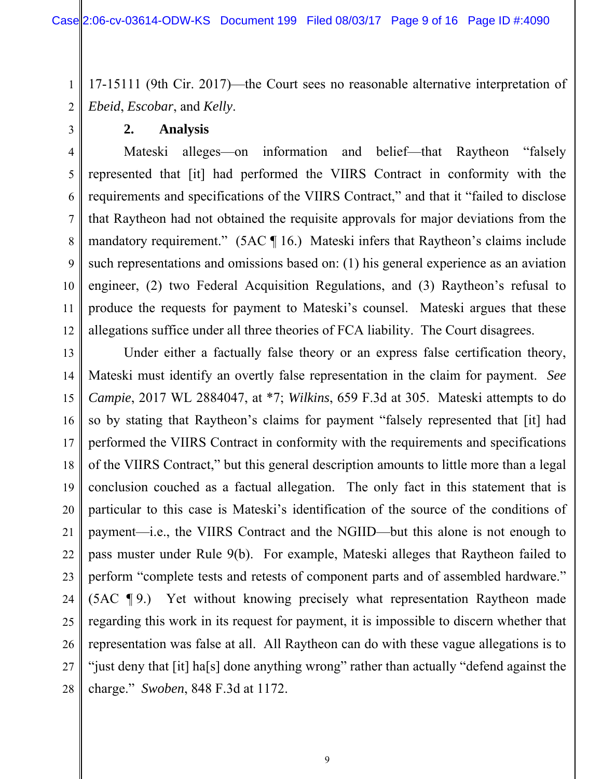17-15111 (9th Cir. 2017)—the Court sees no reasonable alternative interpretation of *Ebeid*, *Escobar*, and *Kelly*.

**2. Analysis**

1

2

3

8

10

11

4 5 6 7 9 12 Mateski alleges—on information and belief—that Raytheon "falsely represented that [it] had performed the VIIRS Contract in conformity with the requirements and specifications of the VIIRS Contract," and that it "failed to disclose that Raytheon had not obtained the requisite approvals for major deviations from the mandatory requirement." (5AC ¶ 16.) Mateski infers that Raytheon's claims include such representations and omissions based on: (1) his general experience as an aviation engineer, (2) two Federal Acquisition Regulations, and (3) Raytheon's refusal to produce the requests for payment to Mateski's counsel. Mateski argues that these allegations suffice under all three theories of FCA liability. The Court disagrees.

13 14 15 16 17 18 19 20 21 22 23 24 25 26 27 28 Under either a factually false theory or an express false certification theory, Mateski must identify an overtly false representation in the claim for payment. *See Campie*, 2017 WL 2884047, at \*7; *Wilkins*, 659 F.3d at 305. Mateski attempts to do so by stating that Raytheon's claims for payment "falsely represented that [it] had performed the VIIRS Contract in conformity with the requirements and specifications of the VIIRS Contract," but this general description amounts to little more than a legal conclusion couched as a factual allegation. The only fact in this statement that is particular to this case is Mateski's identification of the source of the conditions of payment—i.e., the VIIRS Contract and the NGIID—but this alone is not enough to pass muster under Rule 9(b). For example, Mateski alleges that Raytheon failed to perform "complete tests and retests of component parts and of assembled hardware." (5AC ¶ 9.) Yet without knowing precisely what representation Raytheon made regarding this work in its request for payment, it is impossible to discern whether that representation was false at all. All Raytheon can do with these vague allegations is to "just deny that [it] ha[s] done anything wrong" rather than actually "defend against the charge." *Swoben*, 848 F.3d at 1172.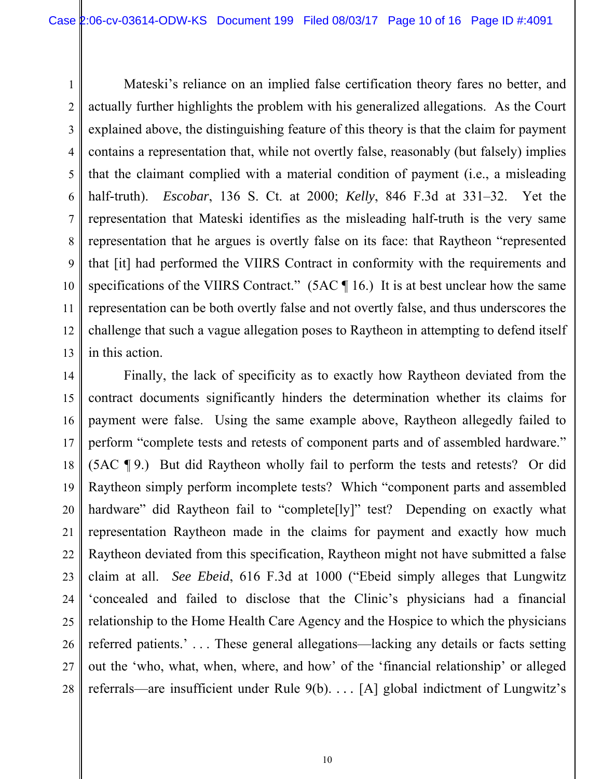1 2 3 4 5 6 7 8 9 10 11 12 13 Mateski's reliance on an implied false certification theory fares no better, and actually further highlights the problem with his generalized allegations. As the Court explained above, the distinguishing feature of this theory is that the claim for payment contains a representation that, while not overtly false, reasonably (but falsely) implies that the claimant complied with a material condition of payment (i.e., a misleading half-truth). *Escobar*, 136 S. Ct. at 2000; *Kelly*, 846 F.3d at 331–32. Yet the representation that Mateski identifies as the misleading half-truth is the very same representation that he argues is overtly false on its face: that Raytheon "represented that [it] had performed the VIIRS Contract in conformity with the requirements and specifications of the VIIRS Contract."  $(5AC \parallel 16)$  It is at best unclear how the same representation can be both overtly false and not overtly false, and thus underscores the challenge that such a vague allegation poses to Raytheon in attempting to defend itself in this action.

14 15 16 17 18 19 20 21 22 23 24 25 26 27 28 Finally, the lack of specificity as to exactly how Raytheon deviated from the contract documents significantly hinders the determination whether its claims for payment were false. Using the same example above, Raytheon allegedly failed to perform "complete tests and retests of component parts and of assembled hardware." (5AC ¶ 9.) But did Raytheon wholly fail to perform the tests and retests? Or did Raytheon simply perform incomplete tests? Which "component parts and assembled hardware" did Raytheon fail to "complete<sup>[ly]"</sup> test? Depending on exactly what representation Raytheon made in the claims for payment and exactly how much Raytheon deviated from this specification, Raytheon might not have submitted a false claim at all. *See Ebeid*, 616 F.3d at 1000 ("Ebeid simply alleges that Lungwitz 'concealed and failed to disclose that the Clinic's physicians had a financial relationship to the Home Health Care Agency and the Hospice to which the physicians referred patients.' . . . These general allegations—lacking any details or facts setting out the 'who, what, when, where, and how' of the 'financial relationship' or alleged referrals—are insufficient under Rule 9(b). *. . .* [A] global indictment of Lungwitz's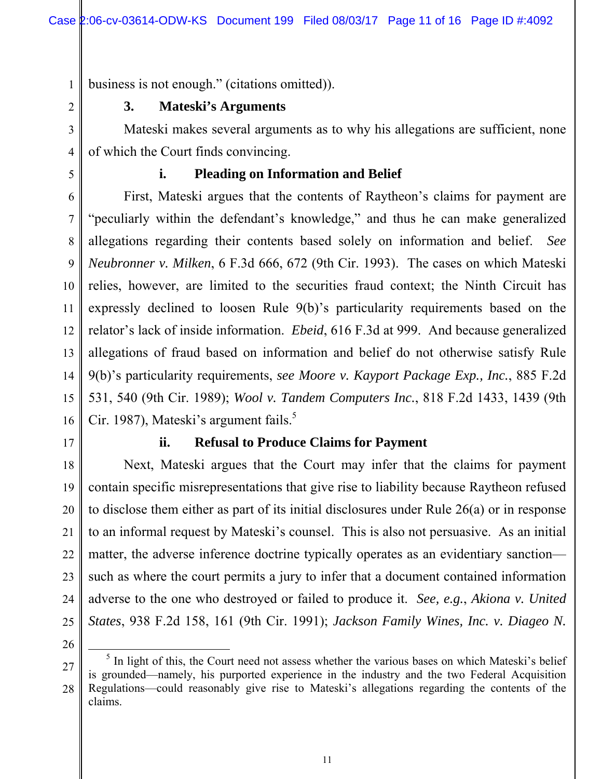business is not enough." (citations omitted)).

# **3. Mateski's Arguments**

Mateski makes several arguments as to why his allegations are sufficient, none of which the Court finds convincing.

5

1

2

3

4

# **i. Pleading on Information and Belief**

6 7 8 9 10 11 12 13 14 15 16 First, Mateski argues that the contents of Raytheon's claims for payment are "peculiarly within the defendant's knowledge," and thus he can make generalized allegations regarding their contents based solely on information and belief. *See Neubronner v. Milken*, 6 F.3d 666, 672 (9th Cir. 1993). The cases on which Mateski relies, however, are limited to the securities fraud context; the Ninth Circuit has expressly declined to loosen Rule 9(b)'s particularity requirements based on the relator's lack of inside information. *Ebeid*, 616 F.3d at 999. And because generalized allegations of fraud based on information and belief do not otherwise satisfy Rule 9(b)'s particularity requirements, *see Moore v. Kayport Package Exp., Inc.*, 885 F.2d 531, 540 (9th Cir. 1989); *Wool v. Tandem Computers Inc.*, 818 F.2d 1433, 1439 (9th Cir. 1987), Mateski's argument fails.<sup>5</sup>

17

18

19

20

21

22

23

24

25

### **ii. Refusal to Produce Claims for Payment**

Next, Mateski argues that the Court may infer that the claims for payment contain specific misrepresentations that give rise to liability because Raytheon refused to disclose them either as part of its initial disclosures under Rule 26(a) or in response to an informal request by Mateski's counsel. This is also not persuasive. As an initial matter, the adverse inference doctrine typically operates as an evidentiary sanction such as where the court permits a jury to infer that a document contained information adverse to the one who destroyed or failed to produce it. *See, e.g.*, *Akiona v. United States*, 938 F.2d 158, 161 (9th Cir. 1991); *Jackson Family Wines, Inc. v. Diageo N.* 

<sup>27</sup> 28 <sup>5</sup> In light of this, the Court need not assess whether the various bases on which Mateski's belief is grounded—namely, his purported experience in the industry and the two Federal Acquisition Regulations—could reasonably give rise to Mateski's allegations regarding the contents of the claims.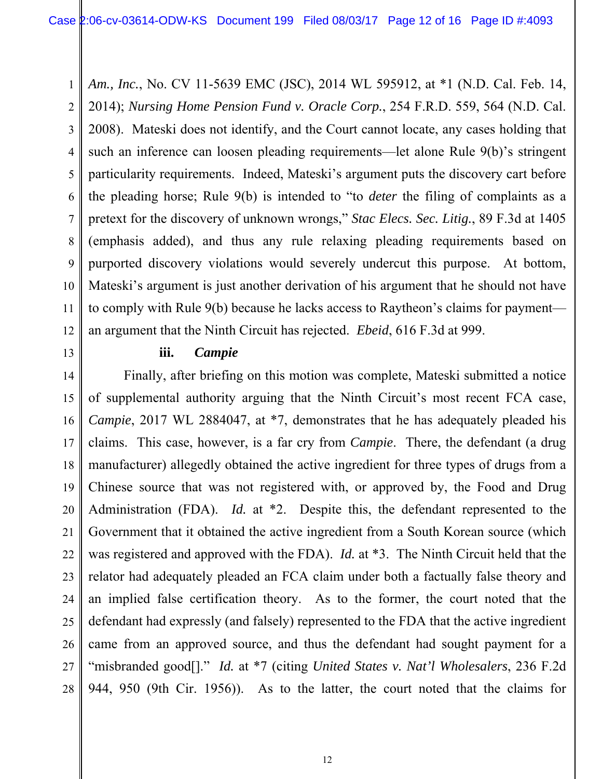1 2 3 4 5 6 7 8 9 10 11 *Am., Inc.*, No. CV 11-5639 EMC (JSC), 2014 WL 595912, at \*1 (N.D. Cal. Feb. 14, 2014); *Nursing Home Pension Fund v. Oracle Corp.*, 254 F.R.D. 559, 564 (N.D. Cal. 2008). Mateski does not identify, and the Court cannot locate, any cases holding that such an inference can loosen pleading requirements—let alone Rule 9(b)'s stringent particularity requirements. Indeed, Mateski's argument puts the discovery cart before the pleading horse; Rule 9(b) is intended to "to *deter* the filing of complaints as a pretext for the discovery of unknown wrongs," *Stac Elecs. Sec. Litig.*, 89 F.3d at 1405 (emphasis added), and thus any rule relaxing pleading requirements based on purported discovery violations would severely undercut this purpose. At bottom, Mateski's argument is just another derivation of his argument that he should not have to comply with Rule 9(b) because he lacks access to Raytheon's claims for payment an argument that the Ninth Circuit has rejected. *Ebeid*, 616 F.3d at 999.

### **iii.** *Campie*

18 19 20 21 22 23 24 25 26 27 28 Finally, after briefing on this motion was complete, Mateski submitted a notice of supplemental authority arguing that the Ninth Circuit's most recent FCA case, *Campie*, 2017 WL 2884047, at \*7, demonstrates that he has adequately pleaded his claims. This case, however, is a far cry from *Campie*. There, the defendant (a drug manufacturer) allegedly obtained the active ingredient for three types of drugs from a Chinese source that was not registered with, or approved by, the Food and Drug Administration (FDA). *Id.* at \*2. Despite this, the defendant represented to the Government that it obtained the active ingredient from a South Korean source (which was registered and approved with the FDA). *Id.* at \*3. The Ninth Circuit held that the relator had adequately pleaded an FCA claim under both a factually false theory and an implied false certification theory. As to the former, the court noted that the defendant had expressly (and falsely) represented to the FDA that the active ingredient came from an approved source, and thus the defendant had sought payment for a "misbranded good[]." *Id.* at \*7 (citing *United States v. Nat'l Wholesalers*, 236 F.2d 944, 950 (9th Cir. 1956)). As to the latter, the court noted that the claims for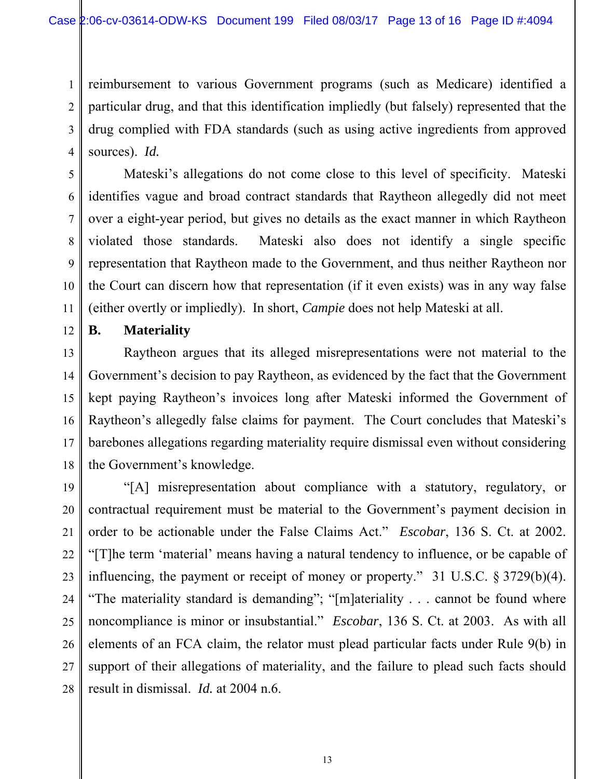3 4 reimbursement to various Government programs (such as Medicare) identified a particular drug, and that this identification impliedly (but falsely) represented that the drug complied with FDA standards (such as using active ingredients from approved sources). *Id.*

Mateski's allegations do not come close to this level of specificity. Mateski identifies vague and broad contract standards that Raytheon allegedly did not meet over a eight-year period, but gives no details as the exact manner in which Raytheon violated those standards. Mateski also does not identify a single specific representation that Raytheon made to the Government, and thus neither Raytheon nor the Court can discern how that representation (if it even exists) was in any way false (either overtly or impliedly). In short, *Campie* does not help Mateski at all.

12 **B. Materiality**

1

2

5

6

7

8

9

10

11

13 14 15 16 17 18 Raytheon argues that its alleged misrepresentations were not material to the Government's decision to pay Raytheon, as evidenced by the fact that the Government kept paying Raytheon's invoices long after Mateski informed the Government of Raytheon's allegedly false claims for payment. The Court concludes that Mateski's barebones allegations regarding materiality require dismissal even without considering the Government's knowledge.

19 20 21 22 23 24 25 26 27 28 "[A] misrepresentation about compliance with a statutory, regulatory, or contractual requirement must be material to the Government's payment decision in order to be actionable under the False Claims Act." *Escobar*, 136 S. Ct. at 2002. "[T]he term 'material' means having a natural tendency to influence, or be capable of influencing, the payment or receipt of money or property." 31 U.S.C. § 3729(b)(4). "The materiality standard is demanding"; "[m]ateriality . . . cannot be found where noncompliance is minor or insubstantial." *Escobar*, 136 S. Ct. at 2003. As with all elements of an FCA claim, the relator must plead particular facts under Rule 9(b) in support of their allegations of materiality, and the failure to plead such facts should result in dismissal. *Id.* at 2004 n.6.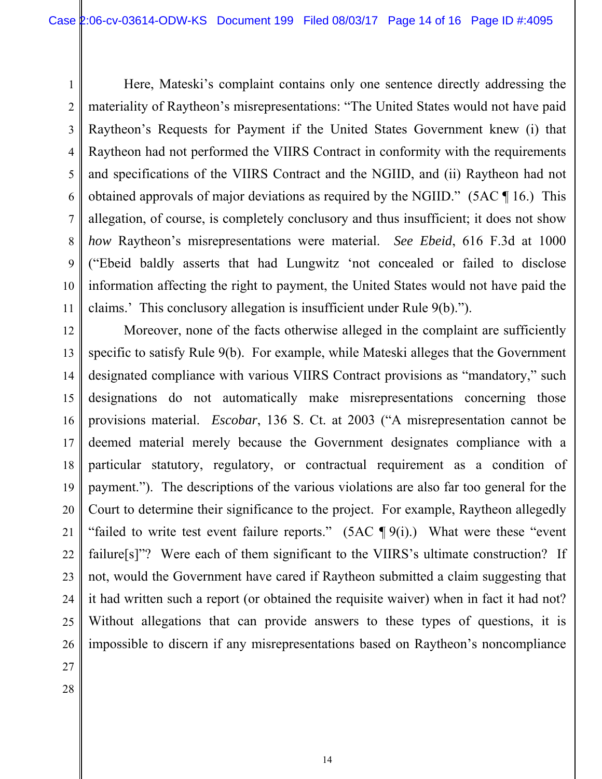1 2 3 4 5 6 7 8 9 10 11 Here, Mateski's complaint contains only one sentence directly addressing the materiality of Raytheon's misrepresentations: "The United States would not have paid Raytheon's Requests for Payment if the United States Government knew (i) that Raytheon had not performed the VIIRS Contract in conformity with the requirements and specifications of the VIIRS Contract and the NGIID, and (ii) Raytheon had not obtained approvals of major deviations as required by the NGIID." (5AC ¶ 16.) This allegation, of course, is completely conclusory and thus insufficient; it does not show *how* Raytheon's misrepresentations were material. *See Ebeid*, 616 F.3d at 1000 ("Ebeid baldly asserts that had Lungwitz 'not concealed or failed to disclose information affecting the right to payment, the United States would not have paid the claims.' This conclusory allegation is insufficient under Rule 9(b).").

12 13 14 15 16 17 18 19 20 Moreover, none of the facts otherwise alleged in the complaint are sufficiently specific to satisfy Rule 9(b). For example, while Mateski alleges that the Government designated compliance with various VIIRS Contract provisions as "mandatory," such designations do not automatically make misrepresentations concerning those provisions material. *Escobar*, 136 S. Ct. at 2003 ("A misrepresentation cannot be deemed material merely because the Government designates compliance with a particular statutory, regulatory, or contractual requirement as a condition of payment."). The descriptions of the various violations are also far too general for the Court to determine their significance to the project. For example, Raytheon allegedly "failed to write test event failure reports."  $(5AC \P 9(i))$ . What were these "event" failure[s]"? Were each of them significant to the VIIRS's ultimate construction? If not, would the Government have cared if Raytheon submitted a claim suggesting that it had written such a report (or obtained the requisite waiver) when in fact it had not? Without allegations that can provide answers to these types of questions, it is impossible to discern if any misrepresentations based on Raytheon's noncompliance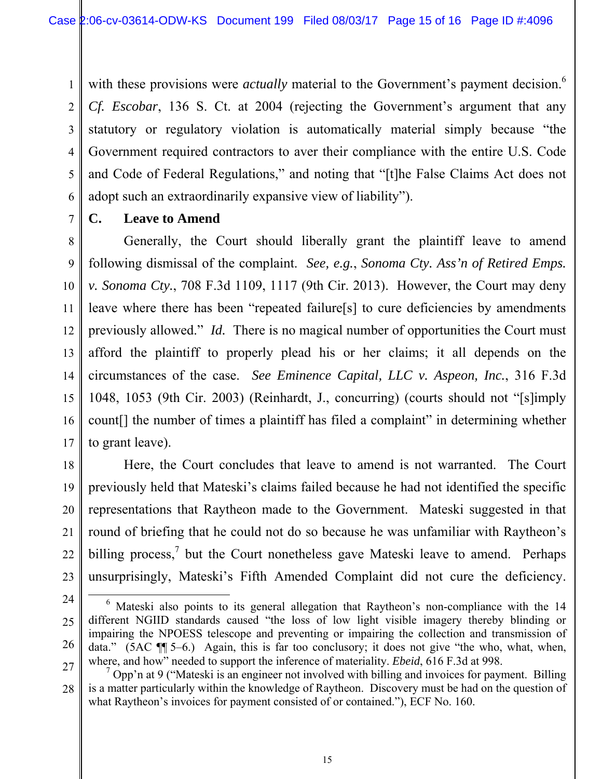3 4 5 6 with these provisions were *actually* material to the Government's payment decision.<sup>6</sup> *Cf. Escobar*, 136 S. Ct. at 2004 (rejecting the Government's argument that any statutory or regulatory violation is automatically material simply because "the Government required contractors to aver their compliance with the entire U.S. Code and Code of Federal Regulations," and noting that "[t]he False Claims Act does not adopt such an extraordinarily expansive view of liability").

7 **C. Leave to Amend**

1

2

8 9 10 11 12 13 14 15 16 17 Generally, the Court should liberally grant the plaintiff leave to amend following dismissal of the complaint. *See, e.g.*, *Sonoma Cty. Ass'n of Retired Emps. v. Sonoma Cty.*, 708 F.3d 1109, 1117 (9th Cir. 2013). However, the Court may deny leave where there has been "repeated failure[s] to cure deficiencies by amendments previously allowed." *Id.* There is no magical number of opportunities the Court must afford the plaintiff to properly plead his or her claims; it all depends on the circumstances of the case. *See Eminence Capital, LLC v. Aspeon, Inc.*, 316 F.3d 1048, 1053 (9th Cir. 2003) (Reinhardt, J., concurring) (courts should not "[s]imply count[] the number of times a plaintiff has filed a complaint" in determining whether to grant leave).

18 19 20 21 22 23 Here, the Court concludes that leave to amend is not warranted. The Court previously held that Mateski's claims failed because he had not identified the specific representations that Raytheon made to the Government. Mateski suggested in that round of briefing that he could not do so because he was unfamiliar with Raytheon's billing process, $\frac{7}{1}$  but the Court nonetheless gave Mateski leave to amend. Perhaps unsurprisingly, Mateski's Fifth Amended Complaint did not cure the deficiency.

<sup>6</sup> Mateski also points to its general allegation that Raytheon's non-compliance with the 14

<sup>24</sup>

<sup>25</sup> 26

different NGIID standards caused "the loss of low light visible imagery thereby blinding or impairing the NPOESS telescope and preventing or impairing the collection and transmission of data." (5AC  $\P$  $\uparrow$  5–6.) Again, this is far too conclusory; it does not give "the who, what, when, where, and how" needed to support the inference of materiality. *Ebeid*, 616 F.3d at 998.

<sup>27</sup> 28  $7$  Opp'n at 9 ("Mateski is an engineer not involved with billing and invoices for payment. Billing is a matter particularly within the knowledge of Raytheon. Discovery must be had on the question of what Raytheon's invoices for payment consisted of or contained."), ECF No. 160.